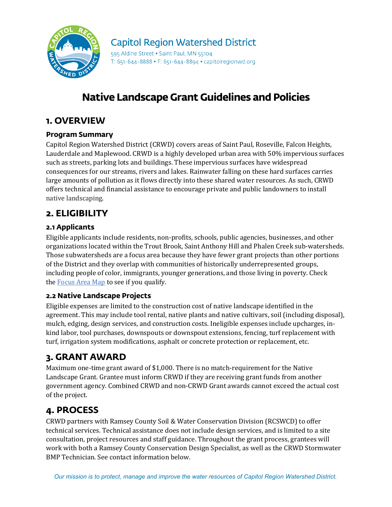

### **Capitol Region Watershed District**

595 Aldine Street . Saint Paul, MN 55104 T: 651-644-8888 • F: 651-644-8894 • capitolregionwd.org

# **Native Landscape Grant Guidelines and Policies**

### **1. OVERVIEW**

#### **Program Summary**

Capitol Region Watershed District (CRWD) covers areas of Saint Paul, Roseville, Falcon Heights, Lauderdale and Maplewood. CRWD is a highly developed urban area with 50% impervious surfaces such as streets, parking lots and buildings. These impervious surfaces have widespread consequences for our streams, rivers and lakes. Rainwater falling on these hard surfaces carries large amounts of pollution as it flows directly into these shared water resources. As such, CRWD offers technical and financial assistance to encourage private and public landowners to install native landscaping.

### **2. ELIGIBILITY**

#### **2.1 Applicants**

Eligible applicants include residents, non-profits, schools, public agencies, businesses, and other organizations located within the Trout Brook, Saint Anthony Hill and Phalen Creek sub-watersheds. Those subwatersheds are a focus area because they have fewer grant projects than other portions of the District and they overlap with communities of historically underrepresented groups, including people of color, immigrants, younger generations, and those living in poverty. Check the [Focus Area Map](https://crwd.maps.arcgis.com/apps/instant/lookup/index.html?appid=87176fca6838447f875c39a76126f9a6) to see if you qualify.

#### **2.2 Native Landscape Projects**

Eligible expenses are limited to the construction cost of native landscape identified in the agreement. This may include tool rental, native plants and native cultivars, soil (including disposal), mulch, edging, design services, and construction costs. Ineligible expenses include upcharges, inkind labor, tool purchases, downspouts or downspout extensions, fencing, turf replacement with turf, irrigation system modifications, asphalt or concrete protection or replacement, etc.

### **3. GRANT AWARD**

Maximum one-time grant award of \$1,000. There is no match-requirement for the Native Landscape Grant. Grantee must inform CRWD if they are receiving grant funds from another government agency. Combined CRWD and non-CRWD Grant awards cannot exceed the actual cost of the project.

### **4. PROCESS**

CRWD partners with Ramsey County Soil & Water Conservation Division (RCSWCD) to offer technical services. Technical assistance does not include design services, and is limited to a site consultation, project resources and staff guidance. Throughout the grant process, grantees will work with both a Ramsey County Conservation Design Specialist, as well as the CRWD Stormwater BMP Technician. See contact information below.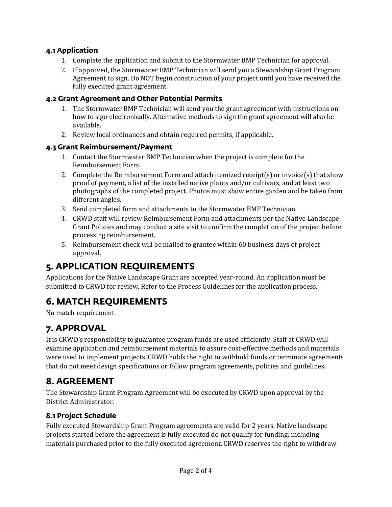#### **4.1 Application**

- 1. Complete the application and submit to the Stormwater BMP Technician for approval.
- 2. If approved, the Stormwater BMP Technician will send you a Stewardship Grant Program Agreement to sign. Do NOT begin construction of your project until you have received the fully executed grant agreement.

#### **4.2 Grant Agreement and Other Potential Permits**

- 1. The Stormwater BMP Technician will send you the grant agreement with instructions on how to sign electronically. Alternative methods to sign the grant agreement will also be available.
- 2. Review local ordinances and obtain required permits, if applicable.

#### **4.3 Grant Reimbursement/Payment**

- 1. Contact the Stormwater BMP Technician when the project is complete for the Reimbursement Form.
- 2. Complete the Reimbursement Form and attach itemized receipt(s) or invoice(s) that show proof of payment, a list of the installed native plants and/or cultivars, and at least two photographs of the completed project. Photos must show entire garden and be taken from different angles.
- 3. Send completed form and attachments to the Stormwater BMP Technician.
- 4. CRWD staff will review Reimbursement Form and attachments per the Native Landscape Grant Policies and may conduct a site visit to confirm the completion of the project before processing reimbursement.
- 5. Reimbursement check will be mailed to grantee within 60 business days of project approval.

# **5. APPLICATION REQUIREMENTS**

Applications for the Native Landscape Grant are accepted year-round. An application must be submitted to CRWD for review. Refer to the Process Guidelines for the application process.

## **6. MATCH REQUIREMENTS**

No match requirement.

### **7. APPROVAL**

It is CRWD's responsibility to guarantee program funds are used efficiently. Staff at CRWD will examine application and reimbursement materials to assure cost-effective methods and materials were used to implement projects. CRWD holds the right to withhold funds or terminate agreements that do not meet design specifications or follow program agreements, policies and guidelines.

### **8. AGREEMENT**

The Stewardship Grant Program Agreement will be executed by CRWD upon approval by the District Administrator.

#### **8.1 Project Schedule**

Fully executed Stewardship Grant Program agreements are valid for 2 years. Native landscape projects started before the agreement is fully executed do not qualify for funding; including materials purchased prior to the fully executed agreement. CRWD reserves the right to withdraw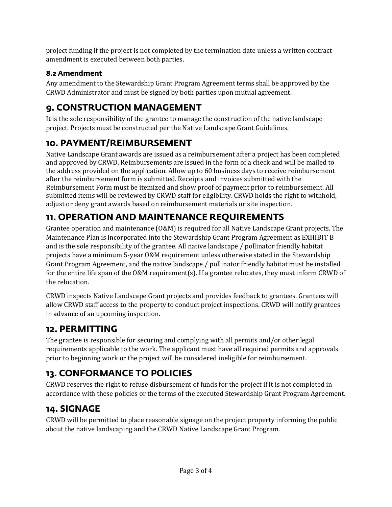project funding if the project is not completed by the termination date unless a written contract amendment is executed between both parties.

#### **8.2 Amendment**

Any amendment to the Stewardship Grant Program Agreement terms shall be approved by the CRWD Administrator and must be signed by both parties upon mutual agreement.

# **9. CONSTRUCTION MANAGEMENT**

It is the sole responsibility of the grantee to manage the construction of the native landscape project. Projects must be constructed per the Native Landscape Grant Guidelines.

## **10. PAYMENT/REIMBURSEMENT**

Native Landscape Grant awards are issued as a reimbursement after a project has been completed and approved by CRWD. Reimbursements are issued in the form of a check and will be mailed to the address provided on the application. Allow up to 60 business days to receive reimbursement after the reimbursement form is submitted. Receipts and invoices submitted with the Reimbursement Form must be itemized and show proof of payment prior to reimbursement. All submitted items will be reviewed by CRWD staff for eligibility. CRWD holds the right to withhold, adjust or deny grant awards based on reimbursement materials or site inspection.

# **11. OPERATION AND MAINTENANCE REQUIREMENTS**

Grantee operation and maintenance (O&M) is required for all Native Landscape Grant projects. The Maintenance Plan is incorporated into the Stewardship Grant Program Agreement as EXHIBIT B and is the sole responsibility of the grantee. All native landscape / pollinator friendly habitat projects have a minimum 5-year O&M requirement unless otherwise stated in the Stewardship Grant Program Agreement, and the native landscape / pollinator friendly habitat must be installed for the entire life span of the O&M requirement(s). If a grantee relocates, they must inform CRWD of the relocation.

CRWD inspects Native Landscape Grant projects and provides feedback to grantees. Grantees will allow CRWD staff access to the property to conduct project inspections. CRWD will notify grantees in advance of an upcoming inspection.

### **12. PERMITTING**

The grantee is responsible for securing and complying with all permits and/or other legal requirements applicable to the work. The applicant must have all required permits and approvals prior to beginning work or the project will be considered ineligible for reimbursement.

# **13. CONFORMANCE TO POLICIES**

CRWD reserves the right to refuse disbursement of funds for the project if it is not completed in accordance with these policies or the terms of the executed Stewardship Grant Program Agreement.

## **14. SIGNAGE**

CRWD will be permitted to place reasonable signage on the project property informing the public about the native landscaping and the CRWD Native Landscape Grant Program.